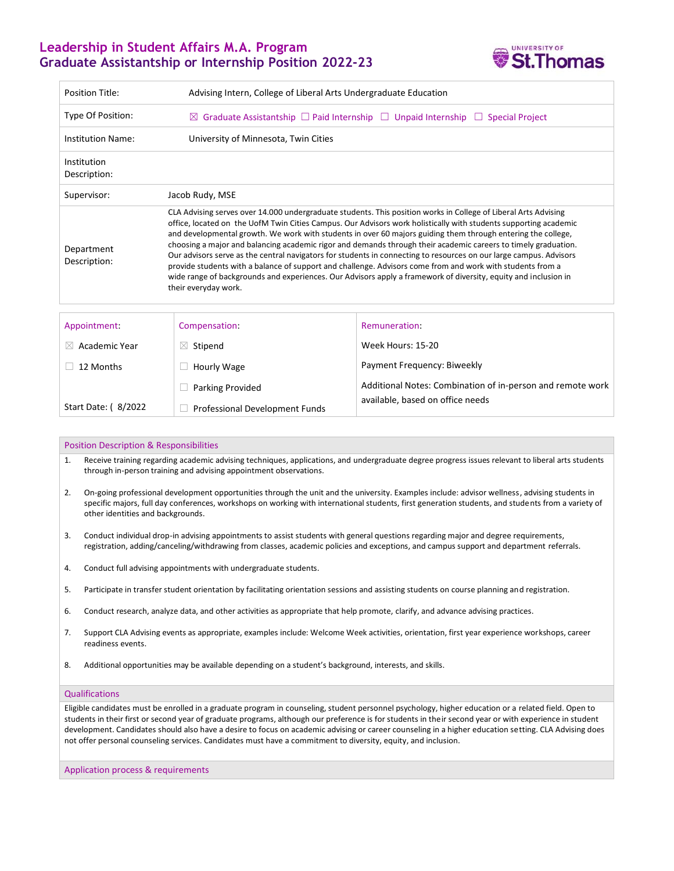## **Leadership in Student Affairs M.A. Program Graduate Assistantship or Internship Position 2022-23**



| <b>Position Title:</b>      | Advising Intern, College of Liberal Arts Undergraduate Education                                                                                                                                                                                                                                                                                                                                                                                                                                                                                                                                                                                                                                                                                                                                                                                     |                                                            |
|-----------------------------|------------------------------------------------------------------------------------------------------------------------------------------------------------------------------------------------------------------------------------------------------------------------------------------------------------------------------------------------------------------------------------------------------------------------------------------------------------------------------------------------------------------------------------------------------------------------------------------------------------------------------------------------------------------------------------------------------------------------------------------------------------------------------------------------------------------------------------------------------|------------------------------------------------------------|
| Type Of Position:           | Graduate Assistantship $\Box$ Paid Internship $\Box$ Unpaid Internship $\Box$ Special Project<br>$\boxtimes$                                                                                                                                                                                                                                                                                                                                                                                                                                                                                                                                                                                                                                                                                                                                         |                                                            |
| <b>Institution Name:</b>    | University of Minnesota, Twin Cities                                                                                                                                                                                                                                                                                                                                                                                                                                                                                                                                                                                                                                                                                                                                                                                                                 |                                                            |
| Institution<br>Description: |                                                                                                                                                                                                                                                                                                                                                                                                                                                                                                                                                                                                                                                                                                                                                                                                                                                      |                                                            |
| Supervisor:                 | Jacob Rudy, MSE                                                                                                                                                                                                                                                                                                                                                                                                                                                                                                                                                                                                                                                                                                                                                                                                                                      |                                                            |
| Department<br>Description:  | CLA Advising serves over 14.000 undergraduate students. This position works in College of Liberal Arts Advising<br>office, located on the UofM Twin Cities Campus. Our Advisors work holistically with students supporting academic<br>and developmental growth. We work with students in over 60 majors guiding them through entering the college,<br>choosing a major and balancing academic rigor and demands through their academic careers to timely graduation.<br>Our advisors serve as the central navigators for students in connecting to resources on our large campus. Advisors<br>provide students with a balance of support and challenge. Advisors come from and work with students from a<br>wide range of backgrounds and experiences. Our Advisors apply a framework of diversity, equity and inclusion in<br>their everyday work. |                                                            |
| Appointment:                | Compensation:                                                                                                                                                                                                                                                                                                                                                                                                                                                                                                                                                                                                                                                                                                                                                                                                                                        | Remuneration:<br>Week Hours: 15-20                         |
| Academic Year<br>$\times$   | Stipend<br>$\bowtie$                                                                                                                                                                                                                                                                                                                                                                                                                                                                                                                                                                                                                                                                                                                                                                                                                                 |                                                            |
| 12 Months                   | Hourly Wage                                                                                                                                                                                                                                                                                                                                                                                                                                                                                                                                                                                                                                                                                                                                                                                                                                          | Payment Frequency: Biweekly                                |
|                             | <b>Parking Provided</b>                                                                                                                                                                                                                                                                                                                                                                                                                                                                                                                                                                                                                                                                                                                                                                                                                              | Additional Notes: Combination of in-person and remote work |
| Start Date: (8/2022         | <b>Professional Development Funds</b>                                                                                                                                                                                                                                                                                                                                                                                                                                                                                                                                                                                                                                                                                                                                                                                                                | available, based on office needs                           |

## Position Description & Responsibilities

- 1. Receive training regarding academic advising techniques, applications, and undergraduate degree progress issues relevant to liberal arts students through in-person training and advising appointment observations.
- 2. On-going professional development opportunities through the unit and the university. Examples include: advisor wellness, advising students in specific majors, full day conferences, workshops on working with international students, first generation students, and students from a variety of other identities and backgrounds.
- 3. Conduct individual drop-in advising appointments to assist students with general questions regarding major and degree requirements, registration, adding/canceling/withdrawing from classes, academic policies and exceptions, and campus support and department referrals.
- 4. Conduct full advising appointments with undergraduate students.
- 5. Participate in transfer student orientation by facilitating orientation sessions and assisting students on course planning and registration.
- 6. Conduct research, analyze data, and other activities as appropriate that help promote, clarify, and advance advising practices.
- 7. Support CLA Advising events as appropriate, examples include: Welcome Week activities, orientation, first year experience workshops, career readiness events.
- 8. Additional opportunities may be available depending on a student's background, interests, and skills.

## Qualifications

Eligible candidates must be enrolled in a graduate program in counseling, student personnel psychology, higher education or a related field. Open to students in their first or second year of graduate programs, although our preference is for students in their second year or with experience in student development. Candidates should also have a desire to focus on academic advising or career counseling in a higher education setting. CLA Advising does not offer personal counseling services. Candidates must have a commitment to diversity, equity, and inclusion.

Application process & requirements